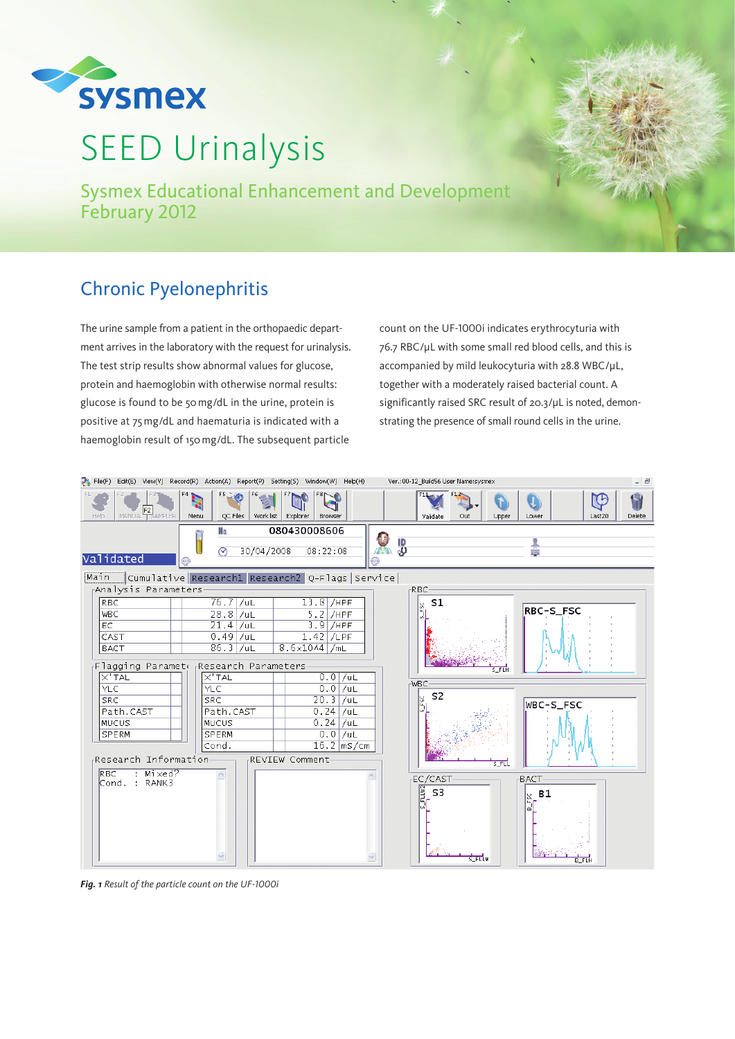

# SEED Urinalysis

Sysmex Educational Enhancement and Development February 2012

## Chronic Pyelonephritis

The urine sample from a patient in the orthopaedic department arrives in the laboratory with the request for urinalysis. The test strip results show abnormal values for glucose, protein and haemoglobin with otherwise normal results: glucose is found to be 50mg/dL in the urine, protein is positive at 75mg/dL and haematuria is indicated with a haemoglobin result of 150mg/dL. The subsequent particle

count on the UF-1000i indicates erythrocyturia with 76.7 RBC/μL with some small red blood cells, and this is accompanied by mild leukocyturia with 28.8 WBC/μL, together with a moderately raised bacterial count. A significantly raised SRC result of 20.3/μL is noted, demonstrating the presence of small round cells in the urine.



*Fig. 1 Result of the particle count on the UF-1000i*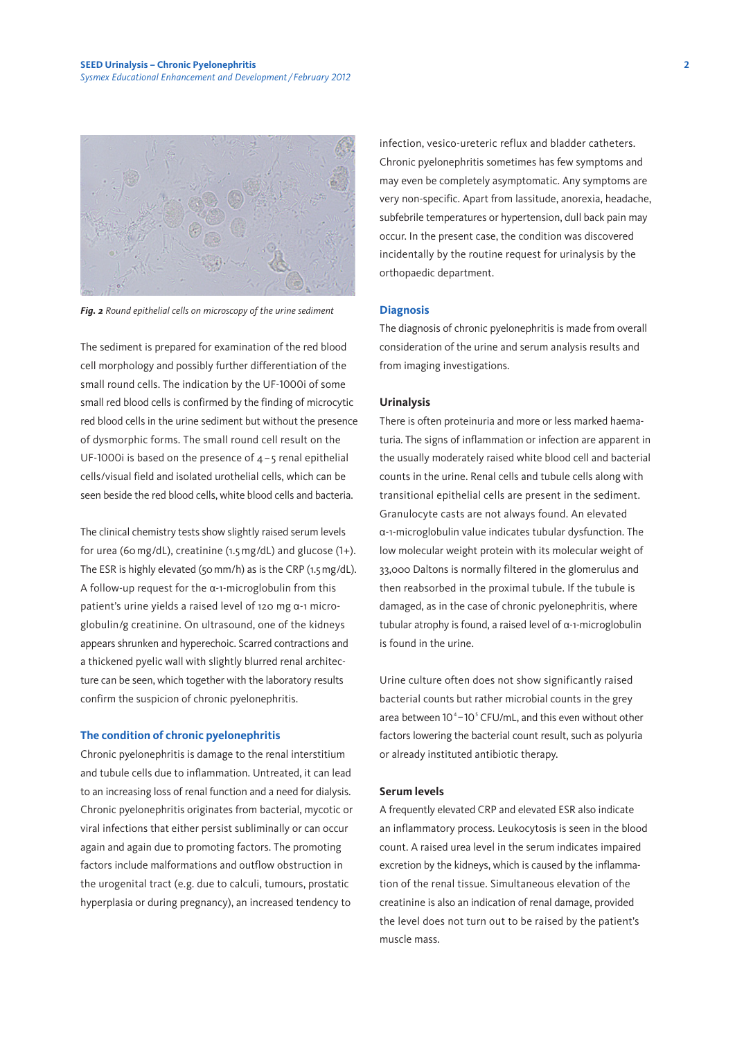

*Fig. 2 Round epithelial cells on microscopy of the urine sediment*

The sediment is prepared for examination of the red blood cell morphology and possibly further differentiation of the small round cells. The indication by the UF-1000i of some small red blood cells is confirmed by the finding of microcytic red blood cells in the urine sediment but without the presence of dysmorphic forms. The small round cell result on the UF-1000i is based on the presence of  $4 - 5$  renal epithelial cells/visual field and isolated urothelial cells, which can be seen beside the red blood cells, white blood cells and bacteria.

The clinical chemistry tests show slightly raised serum levels for urea (60mg/dL), creatinine (1.5mg/dL) and glucose (1+). The ESR is highly elevated (50 mm/h) as is the CRP (1.5 mg/dL). A follow-up request for the α-1-microglobulin from this patient's urine yields a raised level of 120 mg α-1 microglobulin/g creatinine. On ultrasound, one of the kidneys appears shrunken and hyperechoic. Scarred contractions and a thickened pyelic wall with slightly blurred renal architecture can be seen, which together with the laboratory results confirm the suspicion of chronic pyelonephritis.

#### **The condition of chronic pyelonephritis**

Chronic pyelonephritis is damage to the renal interstitium and tubule cells due to inflammation. Untreated, it can lead to an increasing loss of renal function and a need for dialysis. Chronic pyelonephritis originates from bacterial, mycotic or viral infections that either persist subliminally or can occur again and again due to promoting factors. The promoting factors include malformations and outflow obstruction in the urogenital tract (e.g. due to calculi, tumours, prostatic hyperplasia or during pregnancy), an increased tendency to

infection, vesico-ureteric reflux and bladder catheters. Chronic pyelonephritis sometimes has few symptoms and may even be completely asymptomatic. Any symptoms are very non-specific. Apart from lassitude, anorexia, headache, subfebrile temperatures or hypertension, dull back pain may occur. In the present case, the condition was discovered incidentally by the routine request for urinalysis by the orthopaedic department.

#### **Diagnosis**

The diagnosis of chronic pyelonephritis is made from overall consideration of the urine and serum analysis results and from imaging investigations.

#### **Urinalysis**

There is often proteinuria and more or less marked haematuria. The signs of inflammation or infection are apparent in the usually moderately raised white blood cell and bacterial counts in the urine. Renal cells and tubule cells along with transitional epithelial cells are present in the sediment. Granulocyte casts are not always found. An elevated α-1-microglobulin value indicates tubular dysfunction. The low molecular weight protein with its molecular weight of 33,000 Daltons is normally filtered in the glomerulus and then reabsorbed in the proximal tubule. If the tubule is damaged, as in the case of chronic pyelonephritis, where tubular atrophy is found, a raised level of α-1-microglobulin is found in the urine.

Urine culture often does not show significantly raised bacterial counts but rather microbial counts in the grey area between  $10^4 - 10^5$  CFU/mL, and this even without other factors lowering the bacterial count result, such as polyuria or already instituted antibiotic therapy.

#### **Serum levels**

A frequently elevated CRP and elevated ESR also indicate an inflammatory process. Leukocytosis is seen in the blood count. A raised urea level in the serum indicates impaired excretion by the kidneys, which is caused by the inflammation of the renal tissue. Simultaneous elevation of the creatinine is also an indication of renal damage, provided the level does not turn out to be raised by the patient's muscle mass.